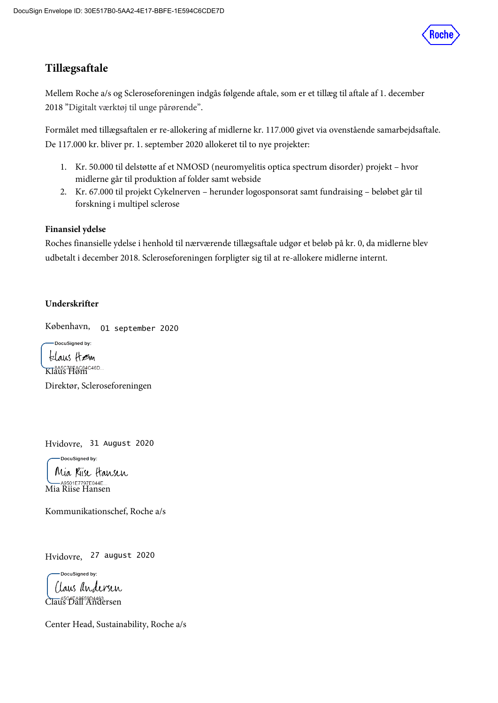

## **Tillægsaftale**

Mellem Roche a/s og Scleroseforeningen indgås følgende aftale, som er et tillæg til aftale af 1. december 2018 "Digitalt værktøj til unge pårørende".

Formålet med tillægsaftalen er re-allokering af midlerne kr. 117.000 givet via ovenstående samarbejdsaftale. De 117.000 kr. bliver pr. 1. september 2020 allokeret til to nye projekter:

- 1. Kr. 50.000 til delstøtte af et NMOSD (neuromyelitis optica spectrum disorder) projekt hvor midlerne går til produktion af folder samt webside
- 2. Kr. 67.000 til projekt Cykelnerven herunder logosponsorat samt fundraising beløbet går til forskning i multipel sclerose

## **Finansiel ydelse**

Roches finansielle ydelse i henhold til nærværende tillægsaftale udgør et beløb på kr. 0, da midlerne blev udbetalt i december 2018. Scleroseforeningen forpligter sig til at re-allokere midlerne internt.

## **Underskrifter**

København, 01 september 2020

.<br>DocuSigned by:

klaus Hem Klaus Høm

Direktør, Scleroseforeningen

Hvidovre, 31 August 2020

-DocuSigned by: Mia Kiise Hansen -A9501E7797E044E... Mia Riise Hansen

Kommunikationschef, Roche a/s

Hvidovre, 27 august 2020

DocuSianed by: Claus andersen Claus Dall Andersen

Center Head, Sustainability, Roche a/s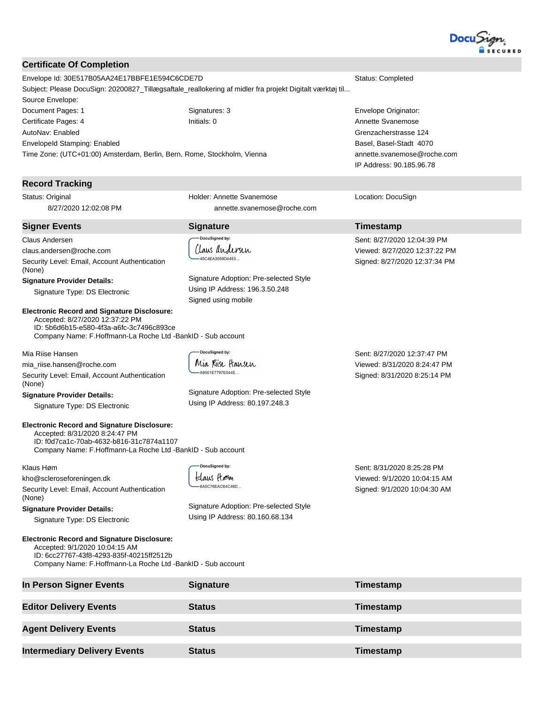

#### **Certificate Of Completion**

Envelope Id: 30E517B05AA24E17BBFE1E594C6CDE7D Status: Completed Subject: Please DocuSign: 20200827\_Tillægsaftale\_reallokering af midler fra projekt Digitalt værktøj til... Source Envelope: Document Pages: 1 Signatures: 3 Envelope Originator: Certificate Pages: 4 **Initials: 0** Initials: 0 **Annette Svanemose Annette Svanemose** AutoNav: Enabled EnvelopeId Stamping: Enabled Time Zone: (UTC+01:00) Amsterdam, Berlin, Bern, Rome, Stockholm, Vienna

#### **Record Tracking**

Status: Original 8/27/2020 12:02:08 PM

cuSianed by:

Holder: Annette Svanemose

annette.svanemose@roche.com

Grenzacherstrasse 124 Basel, Basel-Stadt 4070 annette.svanemose@roche.com IP Address: 90.185.96.78

Location: DocuSign

#### **Signer Events Signature Timestamp** Claus Andersen Sent: 8/27/2020 12:04:39 PM Claus andersen claus.andersen@roche.com Viewed: 8/27/2020 12:37:22 PM 45C4FA3559D4463 Security Level: Email, Account Authentication Signed: 8/27/2020 12:37:34 PM (None) Signature Adoption: Pre-selected Style **Signature Provider Details:**  Using IP Address: 196.3.50.248 Signature Type: DS Electronic Signed using mobile **Electronic Record and Signature Disclosure:**  Accepted: 8/27/2020 12:37:22 PM ID: 5b6d6b15-e580-4f3a-a6fc-3c7496c893ce Company Name: F.Hoffmann-La Roche Ltd -BankID - Sub account **DocuSianed by:** Mia Riise Hansen Sent: 8/27/2020 12:37:47 PM Mia Kiise Hansen mia\_riise.hansen@roche.com Viewed: 8/31/2020 8:24:47 PM A9501F7797F044F Security Level: Email, Account Authentication Signed: 8/31/2020 8:25:14 PM (None) Signature Adoption: Pre-selected Style **Signature Provider Details:**  Using IP Address: 80.197.248.3 Signature Type: DS Electronic **Electronic Record and Signature Disclosure:**  Accepted: 8/31/2020 8:24:47 PM ID: f0d7ca1c-70ab-4632-b816-31c7874a1107 Company Name: F.Hoffmann-La Roche Ltd -BankID - Sub account -DocuSigned by: Sent: 8/31/2020 8:25:28 PM Klaus Høm klaus Høm Viewed: 9/1/2020 10:04:15 AM kho@scleroseforeningen.dk 8A5C76EAC64C46D... Security Level: Email, Account Authentication Signed: 9/1/2020 10:04:30 AM (None) Signature Adoption: Pre-selected Style **Signature Provider Details:**  Using IP Address: 80.160.68.134 Signature Type: DS Electronic **Electronic Record and Signature Disclosure:**  Accepted: 9/1/2020 10:04:15 AM ID: 6cc27767-43f8-4293-835f-40215ff2512b Company Name: F.Hoffmann-La Roche Ltd -BankID - Sub account **In Person Signer Events Signature Construction Signature Timestamp Editor Delivery Events Status Timestamp Agent Delivery Events Status Timestamp**

**Intermediary Delivery Events Status Status Timestamp**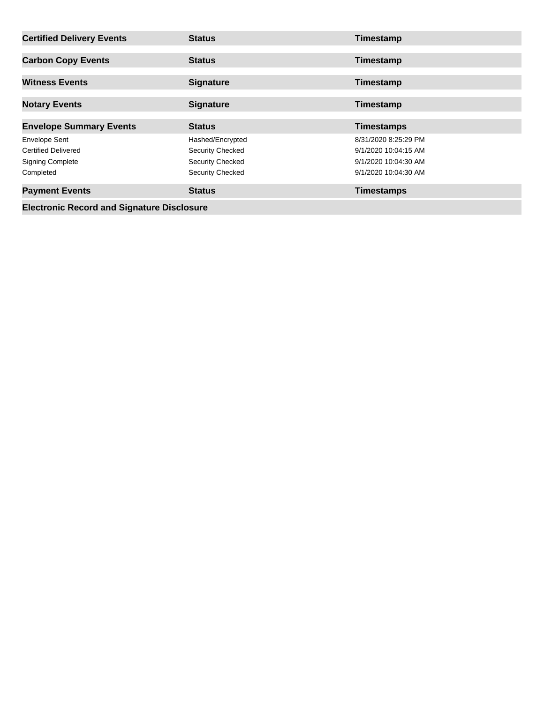| <b>Certified Delivery Events</b>                                              | <b>Status</b>                                                          | Timestamp                                                            |
|-------------------------------------------------------------------------------|------------------------------------------------------------------------|----------------------------------------------------------------------|
| <b>Carbon Copy Events</b>                                                     | <b>Status</b>                                                          | Timestamp                                                            |
| <b>Witness Events</b>                                                         | <b>Signature</b>                                                       | Timestamp                                                            |
| <b>Notary Events</b>                                                          | <b>Signature</b>                                                       | Timestamp                                                            |
| <b>Envelope Summary Events</b>                                                | <b>Status</b>                                                          | <b>Timestamps</b>                                                    |
|                                                                               |                                                                        |                                                                      |
| <b>Envelope Sent</b><br><b>Certified Delivered</b><br><b>Signing Complete</b> | Hashed/Encrypted<br><b>Security Checked</b><br><b>Security Checked</b> | 8/31/2020 8:25:29 PM<br>9/1/2020 10:04:15 AM<br>9/1/2020 10:04:30 AM |
| Completed<br><b>Payment Events</b>                                            | Security Checked<br><b>Status</b>                                      | 9/1/2020 10:04:30 AM<br><b>Timestamps</b>                            |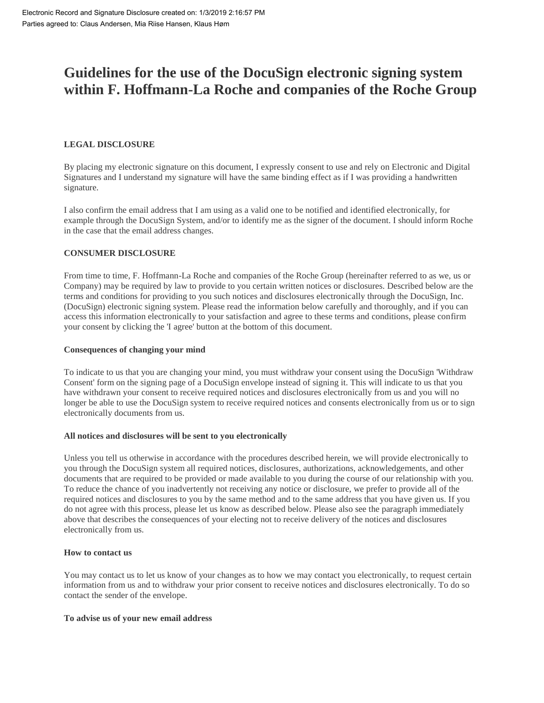# **Guidelines for the use of the DocuSign electronic signing system within F. Hoffmann-La Roche and companies of the Roche Group**

### **LEGAL DISCLOSURE**

By placing my electronic signature on this document, I expressly consent to use and rely on Electronic and Digital Signatures and I understand my signature will have the same binding effect as if I was providing a handwritten signature.

I also confirm the email address that I am using as a valid one to be notified and identified electronically, for example through the DocuSign System, and/or to identify me as the signer of the document. I should inform Roche in the case that the email address changes.

#### **CONSUMER DISCLOSURE**

From time to time, F. Hoffmann-La Roche and companies of the Roche Group (hereinafter referred to as we, us or Company) may be required by law to provide to you certain written notices or disclosures. Described below are the terms and conditions for providing to you such notices and disclosures electronically through the DocuSign, Inc. (DocuSign) electronic signing system. Please read the information below carefully and thoroughly, and if you can access this information electronically to your satisfaction and agree to these terms and conditions, please confirm your consent by clicking the 'I agree' button at the bottom of this document.

#### **Consequences of changing your mind**

To indicate to us that you are changing your mind, you must withdraw your consent using the DocuSign 'Withdraw Consent' form on the signing page of a DocuSign envelope instead of signing it. This will indicate to us that you have withdrawn your consent to receive required notices and disclosures electronically from us and you will no longer be able to use the DocuSign system to receive required notices and consents electronically from us or to sign electronically documents from us.

#### **All notices and disclosures will be sent to you electronically**

Unless you tell us otherwise in accordance with the procedures described herein, we will provide electronically to you through the DocuSign system all required notices, disclosures, authorizations, acknowledgements, and other documents that are required to be provided or made available to you during the course of our relationship with you. To reduce the chance of you inadvertently not receiving any notice or disclosure, we prefer to provide all of the required notices and disclosures to you by the same method and to the same address that you have given us. If you do not agree with this process, please let us know as described below. Please also see the paragraph immediately above that describes the consequences of your electing not to receive delivery of the notices and disclosures electronically from us.

#### **How to contact us**

You may contact us to let us know of your changes as to how we may contact you electronically, to request certain information from us and to withdraw your prior consent to receive notices and disclosures electronically. To do so contact the sender of the envelope.

#### **To advise us of your new email address**